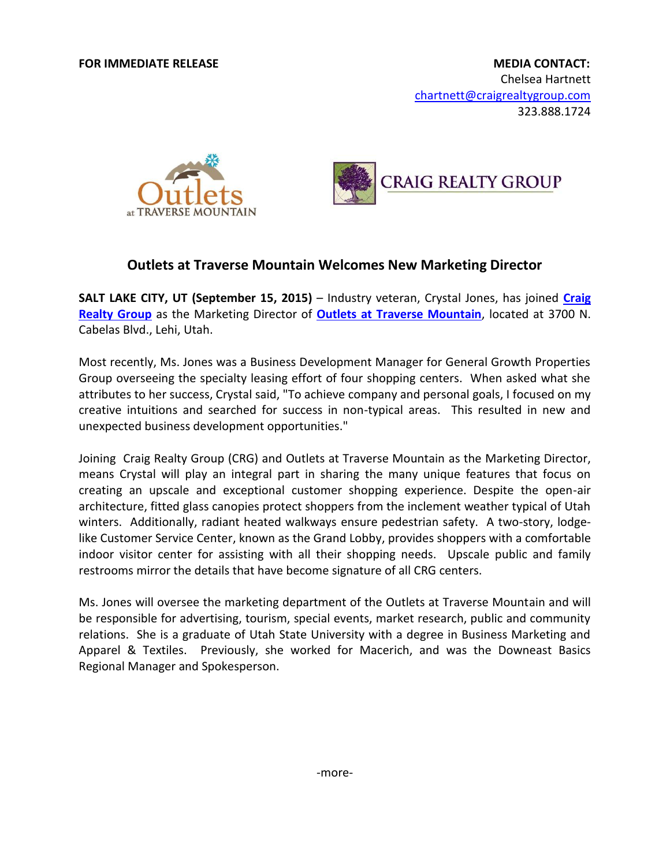



## **Outlets at Traverse Mountain Welcomes New Marketing Director**

**SALT LAKE CITY, UT (September 15, 2015)** – Industry veteran, Crystal Jones, has joined **[Craig](http://www.craigrealtygroup.com/)  [Realty Group](http://www.craigrealtygroup.com/)** as the Marketing Director of **[Outlets at Traverse Mountain](http://www.outletsattraversemountain.com/)**, located at 3700 N. Cabelas Blvd., Lehi, Utah.

Most recently, Ms. Jones was a Business Development Manager for General Growth Properties Group overseeing the specialty leasing effort of four shopping centers. When asked what she attributes to her success, Crystal said, "To achieve company and personal goals, I focused on my creative intuitions and searched for success in non-typical areas. This resulted in new and unexpected business development opportunities."

Joining Craig Realty Group (CRG) and Outlets at Traverse Mountain as the Marketing Director, means Crystal will play an integral part in sharing the many unique features that focus on creating an upscale and exceptional customer shopping experience. Despite the open-air architecture, fitted glass canopies protect shoppers from the inclement weather typical of Utah winters. Additionally, radiant heated walkways ensure pedestrian safety. A two-story, lodgelike Customer Service Center, known as the Grand Lobby, provides shoppers with a comfortable indoor visitor center for assisting with all their shopping needs. Upscale public and family restrooms mirror the details that have become signature of all CRG centers.

Ms. Jones will oversee the marketing department of the Outlets at Traverse Mountain and will be responsible for advertising, tourism, special events, market research, public and community relations. She is a graduate of Utah State University with a degree in Business Marketing and Apparel & Textiles. Previously, she worked for Macerich, and was the Downeast Basics Regional Manager and Spokesperson.